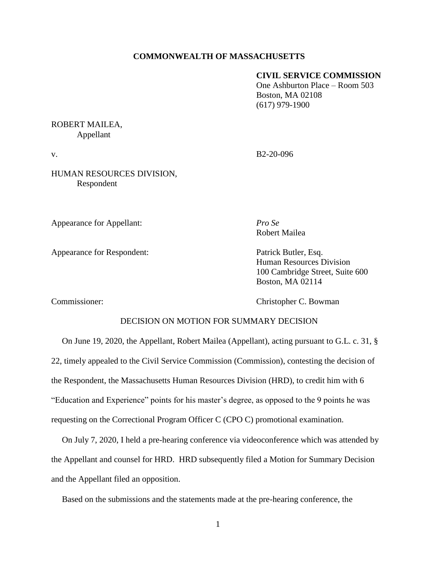# **COMMONWEALTH OF MASSACHUSETTS**

# **CIVIL SERVICE COMMISSION**

One Ashburton Place – Room 503 Boston, MA 02108 (617) 979-1900

# ROBERT MAILEA, Appellant

v. B2-20-096

HUMAN RESOURCES DIVISION, Respondent

Appearance for Appellant: *Pro Se*

Appearance for Respondent: Patrick Butler, Esq.

Robert Mailea

Human Resources Division 100 Cambridge Street, Suite 600 Boston, MA 02114

Commissioner: Christopher C. Bowman

# DECISION ON MOTION FOR SUMMARY DECISION

On June 19, 2020, the Appellant, Robert Mailea (Appellant), acting pursuant to G.L. c. 31, § 22, timely appealed to the Civil Service Commission (Commission), contesting the decision of the Respondent, the Massachusetts Human Resources Division (HRD), to credit him with 6 "Education and Experience" points for his master's degree, as opposed to the 9 points he was requesting on the Correctional Program Officer C (CPO C) promotional examination.

On July 7, 2020, I held a pre-hearing conference via videoconference which was attended by the Appellant and counsel for HRD. HRD subsequently filed a Motion for Summary Decision and the Appellant filed an opposition.

Based on the submissions and the statements made at the pre-hearing conference, the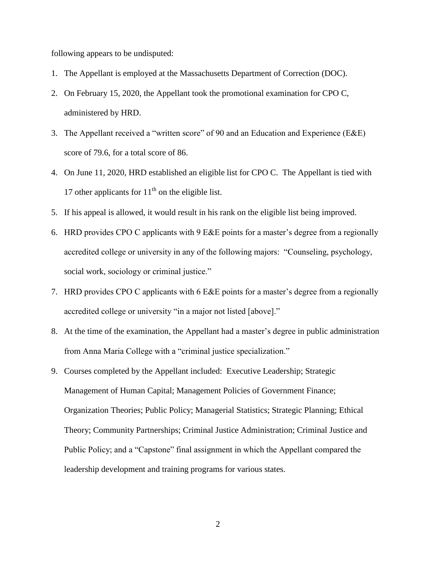following appears to be undisputed:

- 1. The Appellant is employed at the Massachusetts Department of Correction (DOC).
- 2. On February 15, 2020, the Appellant took the promotional examination for CPO C, administered by HRD.
- 3. The Appellant received a "written score" of 90 and an Education and Experience (E&E) score of 79.6, for a total score of 86.
- 4. On June 11, 2020, HRD established an eligible list for CPO C. The Appellant is tied with 17 other applicants for  $11<sup>th</sup>$  on the eligible list.
- 5. If his appeal is allowed, it would result in his rank on the eligible list being improved.
- 6. HRD provides CPO C applicants with 9 E&E points for a master's degree from a regionally accredited college or university in any of the following majors: "Counseling, psychology, social work, sociology or criminal justice."
- 7. HRD provides CPO C applicants with 6 E&E points for a master's degree from a regionally accredited college or university "in a major not listed [above]."
- 8. At the time of the examination, the Appellant had a master's degree in public administration from Anna Maria College with a "criminal justice specialization."
- 9. Courses completed by the Appellant included: Executive Leadership; Strategic Management of Human Capital; Management Policies of Government Finance; Organization Theories; Public Policy; Managerial Statistics; Strategic Planning; Ethical Theory; Community Partnerships; Criminal Justice Administration; Criminal Justice and Public Policy; and a "Capstone" final assignment in which the Appellant compared the leadership development and training programs for various states.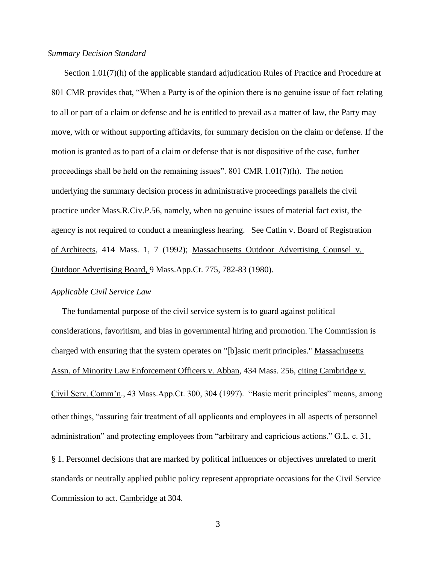#### *Summary Decision Standard*

Section 1.01(7)(h) of the applicable standard adjudication Rules of Practice and Procedure at 801 CMR provides that, "When a Party is of the opinion there is no genuine issue of fact relating to all or part of a claim or defense and he is entitled to prevail as a matter of law, the Party may move, with or without supporting affidavits, for summary decision on the claim or defense. If the motion is granted as to part of a claim or defense that is not dispositive of the case, further proceedings shall be held on the remaining issues". 801 CMR 1.01(7)(h). The notion underlying the summary decision process in administrative proceedings parallels the civil practice under Mass.R.Civ.P.56, namely, when no genuine issues of material fact exist, the agency is not required to conduct a meaningless hearing. See Catlin v. Board of Registration of Architects, 414 Mass. 1, 7 (1992); Massachusetts Outdoor Advertising Counsel v. Outdoor Advertising Board, 9 Mass.App.Ct. 775, 782-83 (1980).

#### *Applicable Civil Service Law*

 The fundamental purpose of the civil service system is to guard against political considerations, favoritism, and bias in governmental hiring and promotion. The Commission is charged with ensuring that the system operates on "[b]asic merit principles." Massachusetts Assn. of Minority Law Enforcement Officers v. Abban, 434 Mass. 256, citing Cambridge v. Civil Serv. Comm'n., 43 Mass.App.Ct. 300, 304 (1997). "Basic merit principles" means, among other things, "assuring fair treatment of all applicants and employees in all aspects of personnel administration" and protecting employees from "arbitrary and capricious actions." G.L. c. 31, § 1. Personnel decisions that are marked by political influences or objectives unrelated to merit standards or neutrally applied public policy represent appropriate occasions for the Civil Service Commission to act. Cambridge at 304.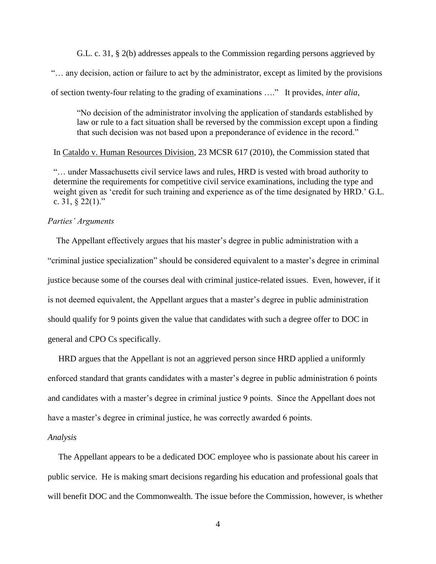G.L. c. 31, § 2(b) addresses appeals to the Commission regarding persons aggrieved by "… any decision, action or failure to act by the administrator, except as limited by the provisions of section twenty-four relating to the grading of examinations …." It provides, *inter alia*,

"No decision of the administrator involving the application of standards established by law or rule to a fact situation shall be reversed by the commission except upon a finding that such decision was not based upon a preponderance of evidence in the record."

In Cataldo v. Human Resources Division, 23 MCSR 617 (2010), the Commission stated that

"… under Massachusetts civil service laws and rules, HRD is vested with broad authority to determine the requirements for competitive civil service examinations, including the type and weight given as 'credit for such training and experience as of the time designated by HRD.' G.L. c.  $31, § 22(1)$ ."

# *Parties' Arguments*

 The Appellant effectively argues that his master's degree in public administration with a "criminal justice specialization" should be considered equivalent to a master's degree in criminal justice because some of the courses deal with criminal justice-related issues. Even, however, if it is not deemed equivalent, the Appellant argues that a master's degree in public administration should qualify for 9 points given the value that candidates with such a degree offer to DOC in general and CPO Cs specifically.

 HRD argues that the Appellant is not an aggrieved person since HRD applied a uniformly enforced standard that grants candidates with a master's degree in public administration 6 points and candidates with a master's degree in criminal justice 9 points. Since the Appellant does not have a master's degree in criminal justice, he was correctly awarded 6 points.

#### *Analysis*

 The Appellant appears to be a dedicated DOC employee who is passionate about his career in public service. He is making smart decisions regarding his education and professional goals that will benefit DOC and the Commonwealth. The issue before the Commission, however, is whether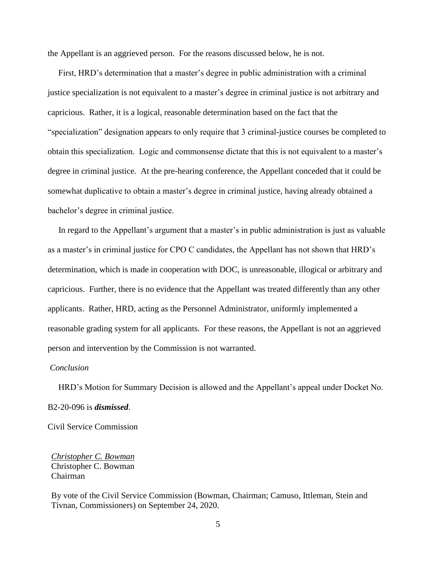the Appellant is an aggrieved person. For the reasons discussed below, he is not.

 First, HRD's determination that a master's degree in public administration with a criminal justice specialization is not equivalent to a master's degree in criminal justice is not arbitrary and capricious. Rather, it is a logical, reasonable determination based on the fact that the "specialization" designation appears to only require that 3 criminal-justice courses be completed to obtain this specialization. Logic and commonsense dictate that this is not equivalent to a master's degree in criminal justice. At the pre-hearing conference, the Appellant conceded that it could be somewhat duplicative to obtain a master's degree in criminal justice, having already obtained a bachelor's degree in criminal justice.

 In regard to the Appellant's argument that a master's in public administration is just as valuable as a master's in criminal justice for CPO C candidates, the Appellant has not shown that HRD's determination, which is made in cooperation with DOC, is unreasonable, illogical or arbitrary and capricious. Further, there is no evidence that the Appellant was treated differently than any other applicants. Rather, HRD, acting as the Personnel Administrator, uniformly implemented a reasonable grading system for all applicants. For these reasons, the Appellant is not an aggrieved person and intervention by the Commission is not warranted.

# *Conclusion*

 HRD's Motion for Summary Decision is allowed and the Appellant's appeal under Docket No. B2-20-096 is *dismissed*.

Civil Service Commission

*Christopher C. Bowman* Christopher C. Bowman Chairman

By vote of the Civil Service Commission (Bowman, Chairman; Camuso, Ittleman, Stein and Tivnan, Commissioners) on September 24, 2020.